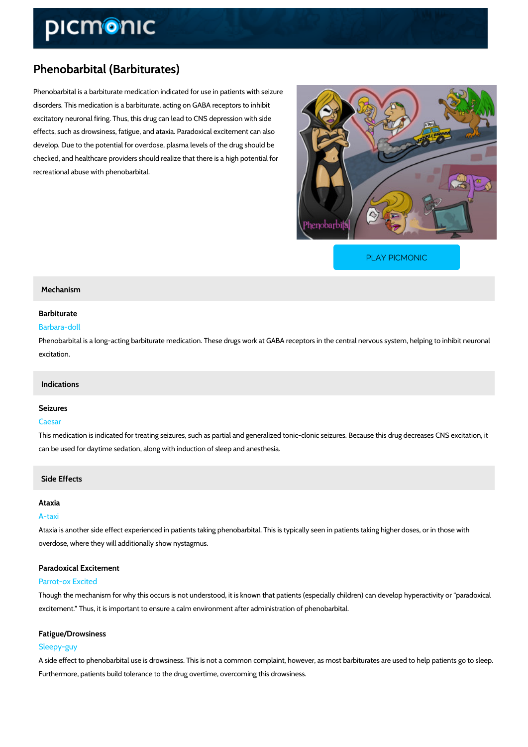# Phenobarbital (Barbiturates)

Phenobarbital is a barbiturate medication indicated for use in patients with seizure disorders. This medication is a barbiturate, acting on GABA receptors to inhibit excitatory neuronal firing. Thus, this drug can lead to CNS depression with side effects, such as drowsiness, fatigue, and ataxia. Paradoxical excitement can also develop. Due to the potential for overdose, plasma levels of the drug should be checked, and healthcare providers should realize that there is a high potential for recreational abuse with phenobarbital.

[PLAY PICMONIC](https://www.picmonic.com/learn/phenobarbital-barbiturates_2035?utm_source=downloadable_content&utm_medium=distributedcontent&utm_campaign=pathways_pdf&utm_content=Phenobarbital (Barbiturates)&utm_ad_group=leads&utm_market=all)

#### Mechanism

# Barbiturate

## Barbara-doll

Phenobarbital is a long-acting barbiturate medication. These drugs work at GABA receptors in excitation.

## Indications

#### Seizures

## Caesar

This medication is indicated for treating seizures, such as partial and generalized tonic-cloni can be used for daytime sedation, along with induction of sleep and anesthesia.

## Side Effects

#### Ataxia

#### A-taxi

Ataxia is another side effect experienced in patients taking phenobarbital. This is typically se overdose, where they will additionally show nystagmus.

## Paradoxical Excitement

#### Parrot-ox Excited

Though the mechanism for why this occurs is not understood, it is known that patients (especi excitement. Thus, it is important to ensure a calm environment after administration of phenob

#### Fatigue/Drowsiness

#### Sleepy-guy

A side effect to phenobarbital use is drowsiness. This is not a common complaint, however, as Furthermore, patients build tolerance to the drug overtime, overcoming this drowsiness.